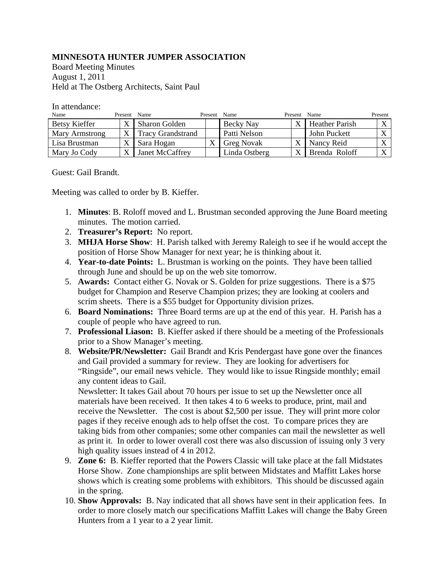## **MINNESOTA HUNTER JUMPER ASSOCIATION**

Board Meeting Minutes August 1, 2011 Held at The Ostberg Architects, Saint Paul

| In attendance: |  |
|----------------|--|
|----------------|--|

| Name           | Present | Name                     | Present | Name              | Present      | Name                  | Present   |
|----------------|---------|--------------------------|---------|-------------------|--------------|-----------------------|-----------|
| Betsy Kieffer  |         | <b>Sharon Golden</b>     |         | Becky Nay         | $\mathbf v$  | <b>Heather Parish</b> |           |
| Mary Armstrong |         | <b>Tracy Grandstrand</b> |         | Patti Nelson      |              | John Puckett          | $\lambda$ |
| Lisa Brustman  |         | Sara Hogan               |         | <b>Greg Novak</b> | $\mathbf{v}$ | Nancy Reid            |           |
| Mary Jo Cody   |         | Janet McCaffrey          |         | Linda Ostberg     | $\mathbf v$  | Brenda Roloff         |           |

Guest: Gail Brandt.

Meeting was called to order by B. Kieffer.

- 1. **Minutes**: B. Roloff moved and L. Brustman seconded approving the June Board meeting minutes. The motion carried.
- 2. **Treasurer's Report:** No report.
- 3. **MHJA Horse Show**: H. Parish talked with Jeremy Raleigh to see if he would accept the position of Horse Show Manager for next year; he is thinking about it.
- 4. **Year-to-date Points:** L. Brustman is working on the points. They have been tallied through June and should be up on the web site tomorrow.
- 5. **Awards:** Contact either G. Novak or S. Golden for prize suggestions. There is a \$75 budget for Champion and Reserve Champion prizes; they are looking at coolers and scrim sheets. There is a \$55 budget for Opportunity division prizes.
- 6. **Board Nominations:** Three Board terms are up at the end of this year. H. Parish has a couple of people who have agreed to run.
- 7. **Professional Liason:** B. Kieffer asked if there should be a meeting of the Professionals prior to a Show Manager's meeting.
- 8. **Website/PR/Newsletter:** Gail Brandt and Kris Pendergast have gone over the finances and Gail provided a summary for review. They are looking for advertisers for "Ringside", our email news vehicle. They would like to issue Ringside monthly; email any content ideas to Gail.

Newsletter: It takes Gail about 70 hours per issue to set up the Newsletter once all materials have been received. It then takes 4 to 6 weeks to produce, print, mail and receive the Newsletter. The cost is about \$2,500 per issue. They will print more color pages if they receive enough ads to help offset the cost. To compare prices they are taking bids from other companies; some other companies can mail the newsletter as well as print it. In order to lower overall cost there was also discussion of issuing only 3 very high quality issues instead of 4 in 2012.

- 9. **Zone 6:** B. Kieffer reported that the Powers Classic will take place at the fall Midstates Horse Show. Zone championships are split between Midstates and Maffitt Lakes horse shows which is creating some problems with exhibitors. This should be discussed again in the spring.
- 10. **Show Approvals:** B. Nay indicated that all shows have sent in their application fees. In order to more closely match our specifications Maffitt Lakes will change the Baby Green Hunters from a 1 year to a 2 year limit.